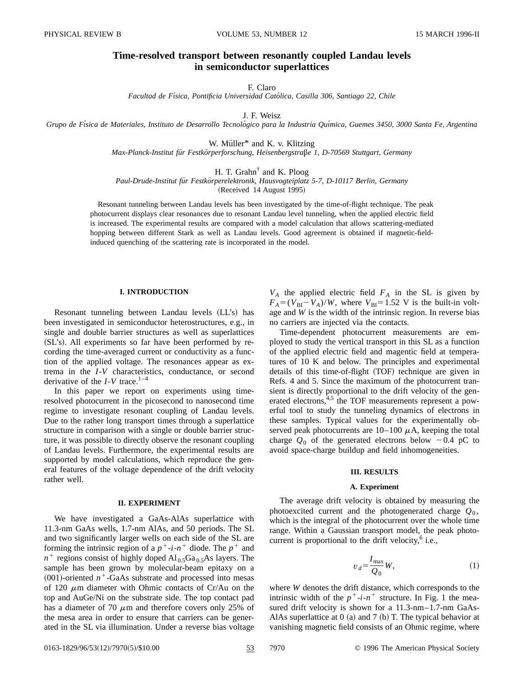# **Time-resolved transport between resonantly coupled Landau levels in semiconductor superlattices**

F. Claro

*Facultad de Fı´sica, Pontificia Universidad Cato´lica, Casilla 306, Santiago 22, Chile*

J. F. Weisz

*Grupo de Fı´sica de Materiales, Instituto de Desarrollo Tecnolo´gico para la Industria Quı´mica, Guemes 3450, 3000 Santa Fe, Argentina*

W. Müller<sup>\*</sup> and K. v. Klitzing

*Max-Planck-Institut fu¨r Festko¨rperforschung, Heisenbergstra*X*e 1, D-70569 Stuttgart, Germany*

H. T. Grahn† and K. Ploog

*Paul-Drude-Institut fu¨r Festko¨rperelektronik, Hausvogteiplatz 5-7, D-10117 Berlin, Germany*

(Received 14 August 1995)

Resonant tunneling between Landau levels has been investigated by the time-of-flight technique. The peak photocurrent displays clear resonances due to resonant Landau level tunneling, when the applied electric field is increased. The experimental results are compared with a model calculation that allows scattering-mediated hopping between different Stark as well as Landau levels. Good agreement is obtained if magnetic-fieldinduced quenching of the scattering rate is incorporated in the model.

# **I. INTRODUCTION**

Resonant tunneling between Landau levels (LL's) has been investigated in semiconductor heterostructures, e.g., in single and double barrier structures as well as superlattices (SL's). All experiments so far have been performed by recording the time-averaged current or conductivity as a function of the applied voltage. The resonances appear as extrema in the *I*-*V* characteristics, conductance, or second derivative of the  $I-V$  trace.<sup>1–4</sup>

In this paper we report on experiments using timeresolved photocurrent in the picosecond to nanosecond time regime to investigate resonant coupling of Landau levels. Due to the rather long transport times through a superlattice structure in comparison with a single or double barrier structure, it was possible to directly observe the resonant coupling of Landau levels. Furthermore, the experimental results are supported by model calculations, which reproduce the general features of the voltage dependence of the drift velocity rather well.

#### **II. EXPERIMENT**

We have investigated a GaAs-AlAs superlattice with 11.3-nm GaAs wells, 1.7-nm AlAs, and 50 periods. The SL and two significantly larger wells on each side of the SL are forming the intrinsic region of a  $p^+$ -*i*- $n^+$  diode. The  $p^+$  and  $n^{+}$  regions consist of highly doped Al<sub>0.5</sub>Ga<sub>0.5</sub>As layers. The sample has been grown by molecular-beam epitaxy on a  $(001)$ -oriented  $n^+$ -GaAs substrate and processed into mesas of 120  $\mu$ m diameter with Ohmic contacts of Cr/Au on the top and AuGe/Ni on the substrate side. The top contact pad has a diameter of 70  $\mu$ m and therefore covers only 25% of the mesa area in order to ensure that carriers can be generated in the SL via illumination. Under a reverse bias voltage

 $V_A$  the applied electric field  $F_A$  in the SL is given by  $F_A = (V_{BI} - V_A)/W$ , where  $V_{BI} = 1.52$  V is the built-in voltage and *W* is the width of the intrinsic region. In reverse bias no carriers are injected via the contacts.

Time-dependent photocurrent measurements are employed to study the vertical transport in this SL as a function of the applied electric field and magentic field at temperatures of 10 K and below. The principles and experimental details of this time-of-flight (TOF) technique are given in Refs. 4 and 5. Since the maximum of the photocurrent transient is directly proportional to the drift velocity of the generated electrons,<sup>4,5</sup> the TOF measurements represent a powerful tool to study the tunneling dynamics of electrons in these samples. Typical values for the experimentally observed peak photocurrents are  $10-100 \mu$ A, keeping the total charge  $Q_0$  of the generated electrons below  $-0.4$  pC to avoid space-charge buildup and field inhomogeneities.

# **III. RESULTS**

#### **A. Experiment**

The average drift velocity is obtained by measuring the photoexcited current and the photogenerated charge  $Q_0$ , which is the integral of the photocurrent over the whole time range. Within a Gaussian transport model, the peak photocurrent is proportional to the drift velocity, $6$  i.e.,

$$
v_d = \frac{I_{\text{max}}}{Q_0} W,\tag{1}
$$

where *W* denotes the drift distance, which corresponds to the intrinsic width of the  $p^+$ -*i*- $n^+$  structure. In Fig. 1 the measured drift velocity is shown for a 11.3-nm–1.7-nm GaAs-AlAs superlattice at  $0$  (a) and  $7$  (b) T. The typical behavior at vanishing magnetic field consists of an Ohmic regime, where

0163-1829/96/53(12)/7970(5)/\$10.00 53 7970 © 1996 The American Physical Society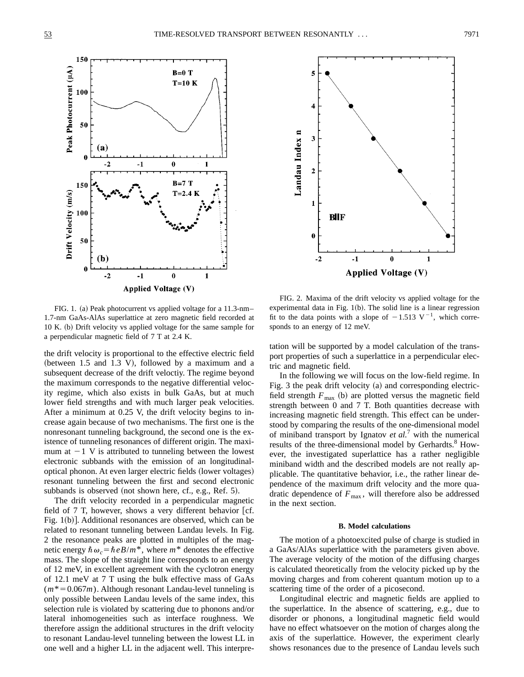



FIG. 1. (a) Peak photocurrent vs applied voltage for a 11.3-nm– 1.7-nm GaAs-AlAs superlattice at zero magnetic field recorded at  $10 K.$  (b) Drift velocity vs applied voltage for the same sample for a perpendicular magnetic field of 7 T at 2.4 K.

the drift velocity is proportional to the effective electric field (between  $1.5$  and  $1.3$  V), followed by a maximum and a subsequent decrease of the drift veloctiy. The regime beyond the maximum corresponds to the negative differential velocity regime, which also exists in bulk GaAs, but at much lower field strengths and with much larger peak velocities. After a minimum at 0.25 V, the drift velocity begins to increase again because of two mechanisms. The first one is the nonresonant tunneling background, the second one is the existence of tunneling resonances of different origin. The maximum at  $-1$  V is attributed to tunneling between the lowest electronic subbands with the emission of an longitudinaloptical phonon. At even larger electric fields (lower voltages) resonant tunneling between the first and second electronic subbands is observed (not shown here, cf., e.g., Ref. 5).

The drift velocity recorded in a perpendicular magnetic field of  $7$  T, however, shows a very different behavior [cf. Fig.  $1(b)$ ]. Additional resonances are observed, which can be related to resonant tunneling between Landau levels. In Fig. 2 the resonance peaks are plotted in multiples of the magnetic energy  $\hbar \omega_c = \hbar e B/m^*$ , where  $m^*$  denotes the effective mass. The slope of the straight line corresponds to an energy of 12 meV, in excellent agreement with the cyclotron energy of 12.1 meV at 7 T using the bulk effective mass of GaAs  $(m^*=0.067m)$ . Although resonant Landau-level tunneling is only possible between Landau levels of the same index, this selection rule is violated by scattering due to phonons and/or lateral inhomogeneities such as interface roughness. We therefore assign the additional structures in the drift velocity to resonant Landau-level tunneling between the lowest LL in one well and a higher LL in the adjacent well. This interpre-

FIG. 2. Maxima of the drift velocity vs applied voltage for the experimental data in Fig.  $1(b)$ . The solid line is a linear regression fit to the data points with a slope of  $-1.513 \text{ V}^{-1}$ , which corresponds to an energy of 12 meV.

tation will be supported by a model calculation of the transport properties of such a superlattice in a perpendicular electric and magnetic field.

In the following we will focus on the low-field regime. In Fig. 3 the peak drift velocity  $(a)$  and corresponding electricfield strength  $F_{\text{max}}$  (b) are plotted versus the magnetic field strength between 0 and 7 T. Both quantities decrease with increasing magnetic field strength. This effect can be understood by comparing the results of the one-dimensional model of miniband transport by Ignatov *et al.*<sup>7</sup> with the numerical results of the three-dimensional model by Gerhardts.<sup>8</sup> However, the investigated superlattice has a rather negligible miniband width and the described models are not really applicable. The quantitative behavior, i.e., the rather linear dependence of the maximum drift velocity and the more quadratic dependence of  $F_{\text{max}}$ , will therefore also be addressed in the next section.

## **B. Model calculations**

The motion of a photoexcited pulse of charge is studied in a GaAs/AlAs superlattice with the parameters given above. The average velocity of the motion of the diffusing charges is calculated theoretically from the velocity picked up by the moving charges and from coherent quantum motion up to a scattering time of the order of a picosecond.

Longitudinal electric and magnetic fields are applied to the superlattice. In the absence of scattering, e.g., due to disorder or phonons, a longitudinal magnetic field would have no effect whatsoever on the motion of charges along the axis of the superlattice. However, the experiment clearly shows resonances due to the presence of Landau levels such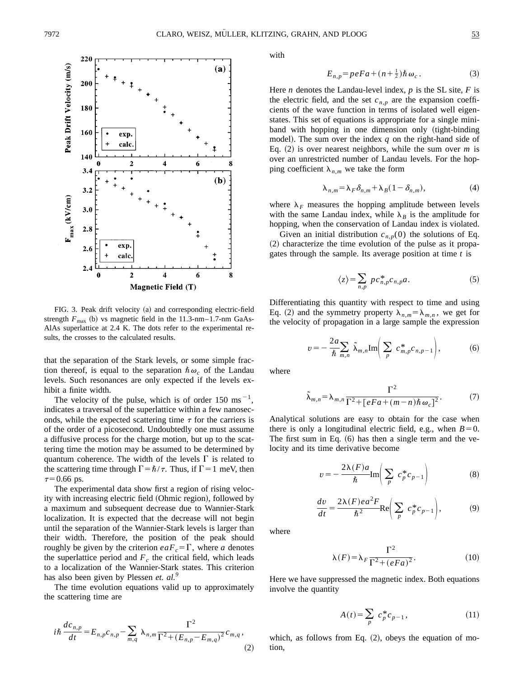

FIG. 3. Peak drift velocity (a) and corresponding electric-field strength  $F_{\text{max}}$  (b) vs magnetic field in the 11.3-nm–1.7-nm GaAs-AlAs superlattice at 2.4 K. The dots refer to the experimental results, the crosses to the calculated results.

that the separation of the Stark levels, or some simple fraction thereof, is equal to the separation  $\hbar \omega_c$  of the Landau levels. Such resonances are only expected if the levels exhibit a finite width.

The velocity of the pulse, which is of order 150 ms<sup> $-1$ </sup>, indicates a traversal of the superlattice within a few nanoseconds, while the expected scattering time  $\tau$  for the carriers is of the order of a picosecond. Undoubtedly one must assume a diffusive process for the charge motion, but up to the scattering time the motion may be assumed to be determined by quantum coherence. The width of the levels  $\Gamma$  is related to the scattering time through  $\Gamma = \hbar/\tau$ . Thus, if  $\Gamma = 1$  meV, then  $\tau=0.66$  ps.

The experimental data show first a region of rising velocity with increasing electric field (Ohmic region), followed by a maximum and subsequent decrease due to Wannier-Stark localization. It is expected that the decrease will not begin until the separation of the Wannier-Stark levels is larger than their width. Therefore, the position of the peak should roughly be given by the criterion  $eaF<sub>c</sub>=\Gamma$ , where *a* denotes the superlattice period and  $F_c$  the critical field, which leads to a localization of the Wannier-Stark states. This criterion has also been given by Plessen *et. al.*<sup>9</sup>

The time evolution equations valid up to approximately the scattering time are

$$
i\hbar \frac{dc_{n,p}}{dt} = E_{n,p}c_{n,p} - \sum_{m,q} \lambda_{n,m} \frac{\Gamma^2}{\Gamma^2 + (E_{n,p} - E_{m,q})^2} c_{m,q},
$$
\n(2)

with

$$
E_{n,p} = peFa + (n + \frac{1}{2})\hbar\,\omega_c\,. \tag{3}
$$

Here *n* denotes the Landau-level index,  $p$  is the SL site,  $F$  is the electric field, and the set  $c_{n,p}$  are the expansion coefficients of the wave function in terms of isolated well eigenstates. This set of equations is appropriate for a single miniband with hopping in one dimension only (tight-binding model). The sum over the index  $q$  on the right-hand side of Eq.  $(2)$  is over nearest neighbors, while the sum over *m* is over an unrestricted number of Landau levels. For the hopping coefficient  $\lambda_{n,m}$  we take the form

$$
\lambda_{n,m} = \lambda_F \delta_{n,m} + \lambda_B (1 - \delta_{n,m}), \qquad (4)
$$

where  $\lambda_F$  measures the hopping amplitude between levels with the same Landau index, while  $\lambda_B$  is the amplitude for hopping, when the conservation of Landau index is violated.

Given an initial distribution  $c_{n,p}(0)$  the solutions of Eq.  $(2)$  characterize the time evolution of the pulse as it propagates through the sample. Its average position at time *t* is

$$
\langle z \rangle = \sum_{n,p} p c_{n,p}^* c_{n,p} a. \tag{5}
$$

Differentiating this quantity with respect to time and using Eq. (2) and the symmetry property  $\lambda_{n,m} = \lambda_{m,n}$ , we get for the velocity of propagation in a large sample the expression

$$
v = -\frac{2a}{\hbar} \sum_{m,n} \tilde{\lambda}_{m,n} \text{Im} \bigg( \sum_{p} c_{m,p}^{*} c_{n,p-1} \bigg), \tag{6}
$$

where

$$
\tilde{\lambda}_{m,n} = \lambda_{m,n} \frac{\Gamma^2}{\Gamma^2 + \left[eFa + (m-n)\hbar \omega_c\right]^2}.
$$
 (7)

Analytical solutions are easy to obtain for the case when there is only a longitudinal electric field, e.g., when  $B=0$ . The first sum in Eq.  $(6)$  has then a single term and the velocity and its time derivative become

$$
v = -\frac{2\lambda(F)a}{\hbar} \text{Im}\left(\sum_{p} c_p^* c_{p-1}\right) \tag{8}
$$

$$
\frac{dv}{dt} = \frac{2\lambda(F)e^{2}F}{\hbar^2}Re\bigg(\sum_{p} c_p^* c_{p-1}\bigg),\tag{9}
$$

where

$$
\lambda(F) = \lambda_F \frac{\Gamma^2}{\Gamma^2 + (eFa)^2}.
$$
 (10)

Here we have suppressed the magnetic index. Both equations involve the quantity

$$
A(t) = \sum_{p} c_p^* c_{p-1}, \qquad (11)
$$

which, as follows from Eq.  $(2)$ , obeys the equation of motion,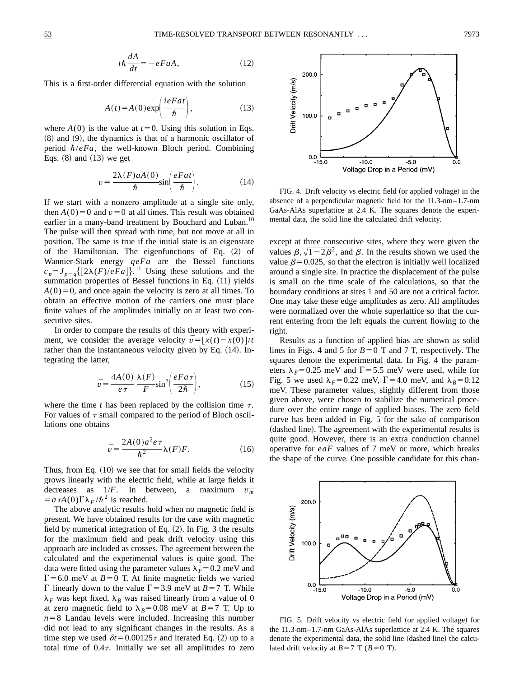$$
i\hbar \frac{dA}{dt} = -eFaA,\tag{12}
$$

This is a first-order differential equation with the solution

$$
A(t) = A(0) \exp\left(\frac{i e F a t}{\hbar}\right),\tag{13}
$$

where  $A(0)$  is the value at  $t=0$ . Using this solution in Eqs.  $(8)$  and  $(9)$ , the dynamics is that of a harmonic oscillator of period  $\hbar/eFa$ , the well-known Bloch period. Combining Eqs.  $(8)$  and  $(13)$  we get

$$
v = \frac{2\lambda(F)aA(0)}{\hbar} \sin\left(\frac{eFat}{\hbar}\right). \tag{14}
$$

If we start with a nonzero amplitude at a single site only, then  $A(0)=0$  and  $v=0$  at all times. This result was obtained earlier in a many-band treatment by Bouchard and Luban.<sup>10</sup> The pulse will then spread with time, but not move at all in position. The same is true if the initial state is an eigenstate of the Hamiltonian. The eigenfunctions of Eq.  $(2)$  of Wannier-Stark energy *qeFa* are the Bessel functions  $c_p = J_{p-q}$ { $[2\lambda(F)/eFa]$ }.<sup>11</sup> Using these solutions and the summation properties of Bessel functions in Eq. (11) yields  $A(0)=0$ , and once again the velocity is zero at all times. To obtain an effective motion of the carriers one must place finite values of the amplitudes initially on at least two consecutive sites.

In order to compare the results of this theory with experiment, we consider the average velocity  $\bar{v} = [x(t) - x(0)]/t$ rather than the instantaneous velocity given by Eq.  $(14)$ . Integrating the latter,

$$
\bar{v} = \frac{4A(0)}{e\tau} \frac{\lambda(F)}{F} \sin^2 \left( \frac{eFa\tau}{2\hbar} \right),\tag{15}
$$

where the time  $t$  has been replaced by the collision time  $\tau$ . For values of  $\tau$  small compared to the period of Bloch oscillations one obtains

$$
\bar{v} = \frac{2A(0)a^2e\tau}{\hbar^2}\lambda(F)F.
$$
 (16)

Thus, from Eq.  $(10)$  we see that for small fields the velocity grows linearly with the electric field, while at large fields it decreases as  $1/F$ . In between, a maximum  $\overline{v_m}$  $=a\tau A(0)\Gamma\lambda_F/\hbar^2$  is reached.

The above analytic results hold when no magnetic field is present. We have obtained results for the case with magnetic field by numerical integration of Eq.  $(2)$ . In Fig. 3 the results for the maximum field and peak drift velocity using this approach are included as crosses. The agreement between the calculated and the experimental values is quite good. The data were fitted using the parameter values  $\lambda_F=0.2$  meV and  $\Gamma$ =6.0 meV at *B*=0 T. At finite magnetic fields we varied  $\Gamma$  linearly down to the value  $\Gamma$  = 3.9 meV at *B* = 7 T. While  $\lambda_F$  was kept fixed,  $\lambda_B$  was raised linearly from a value of 0 at zero magnetic field to  $\lambda_B=0.08$  meV at *B*=7 T. Up to  $n=8$  Landau levels were included. Increasing this number did not lead to any significant changes in the results. As a time step we used  $\delta t = 0.00125\tau$  and iterated Eq. (2) up to a total time of  $0.4\tau$ . Initially we set all amplitudes to zero



FIG. 4. Drift velocity vs electric field (or applied voltage) in the absence of a perpendicular magnetic field for the 11.3-nm–1.7-nm GaAs-AlAs superlattice at 2.4 K. The squares denote the experimental data, the solid line the calculated drift velocity.

except at three consecutive sites, where they were given the values  $\beta, \sqrt{1-2\beta^2}$ , and  $\beta$ . In the results shown we used the value  $\beta$ =0.025, so that the electron is initially well localized around a single site. In practice the displacement of the pulse is small on the time scale of the calculations, so that the boundary conditions at sites 1 and 50 are not a critical factor. One may take these edge amplitudes as zero. All amplitudes were normalized over the whole superlattice so that the current entering from the left equals the current flowing to the right.

Results as a function of applied bias are shown as solid lines in Figs. 4 and 5 for  $B=0$  T and 7 T, respectively. The squares denote the experimental data. In Fig. 4 the parameters  $\lambda_F$ =0.25 meV and  $\Gamma$ =5.5 meV were used, while for Fig. 5 we used  $\lambda_F = 0.22$  meV,  $\Gamma = 4.0$  meV, and  $\lambda_B = 0.12$ meV. These parameter values, slightly different from those given above, were chosen to stabilize the numerical procedure over the entire range of applied biases. The zero field curve has been added in Fig. 5 for the sake of comparison (dashed line). The agreement with the experimental results is quite good. However, there is an extra conduction channel operative for *eaF* values of 7 meV or more, which breaks the shape of the curve. One possible candidate for this chan-



FIG. 5. Drift velocity vs electric field (or applied voltage) for the 11.3-nm–1.7-nm GaAs-AlAs superlattice at 2.4 K. The squares denote the experimental data, the solid line (dashed line) the calculated drift velocity at  $B=7$  T ( $B=0$  T).